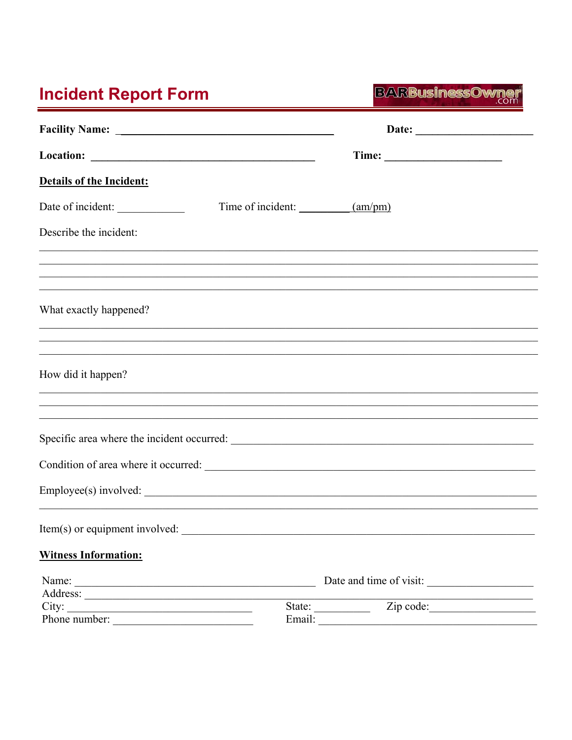## **Incident Report Form**

**BARBusinessOwner** 

| Details of the Incident:       |                                                                                                                       |
|--------------------------------|-----------------------------------------------------------------------------------------------------------------------|
| Date of incident:              | Time of incident: ____________(am/pm)                                                                                 |
| Describe the incident:         |                                                                                                                       |
|                                | <u> 1989 - Johann Stoff, amerikan bestein de stad i stoff for de stad i stoff for de stad i stoff for de stad i s</u> |
| What exactly happened?         | <u> 1989 - Johann Barn, amerikan basar dan basa dalam basa dalam basa dalam basa dalam basa dalam basa dalam basa</u> |
|                                | <u> 1999 - Johann John Stone, Amerikaansk politiker (d. 1999)</u>                                                     |
| How did it happen?             | <u> 1989 - Johann Barn, amerikan basar basa dalam basa dan basa dan basa dan basa dalam basa dalam basa dalam ba</u>  |
|                                |                                                                                                                       |
|                                |                                                                                                                       |
|                                |                                                                                                                       |
|                                |                                                                                                                       |
| Item(s) or equipment involved: |                                                                                                                       |
| <b>Witness Information:</b>    |                                                                                                                       |
| Name:                          | Date and time of visit:                                                                                               |
| City:<br>Phone number:         | State: $\qquad \qquad$<br>Email:                                                                                      |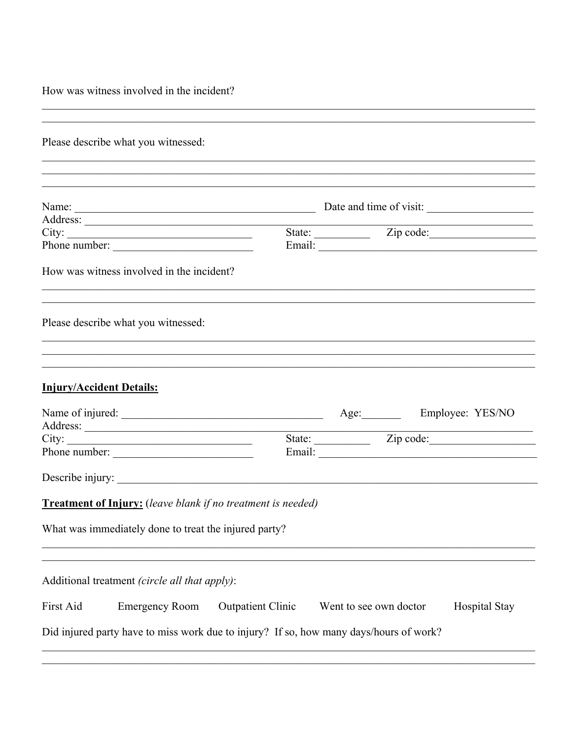How was witness involved in the incident?

| Please describe what you witnessed:                                                                                                                                                                                                  |                          |                        |                      |
|--------------------------------------------------------------------------------------------------------------------------------------------------------------------------------------------------------------------------------------|--------------------------|------------------------|----------------------|
|                                                                                                                                                                                                                                      |                          |                        |                      |
| ,我们也不能在这里的人,我们也不能在这里的人,我们也不能在这里的人,我们也不能在这里的人,我们也不能在这里的人,我们也不能在这里的人,我们也不能在这里的人,我们也                                                                                                                                                    |                          |                        |                      |
|                                                                                                                                                                                                                                      |                          |                        |                      |
|                                                                                                                                                                                                                                      |                          |                        |                      |
| City:                                                                                                                                                                                                                                |                          |                        |                      |
| Phone number:                                                                                                                                                                                                                        |                          |                        |                      |
| How was witness involved in the incident?<br>,我们也不能在这里的人,我们也不能在这里的人,我们也不能在这里的人,我们也不能在这里的人,我们也不能在这里的人,我们也不能在这里的人,我们也不能在这里的人,我们也                                                                                                       |                          |                        |                      |
| Please describe what you witnessed:                                                                                                                                                                                                  |                          |                        |                      |
| ,我们也不能在这里的人,我们也不能在这里的人,我们也不能在这里的人,我们也不能在这里的人,我们也不能在这里的人,我们也不能在这里的人,我们也不能在这里的人,我们也                                                                                                                                                    |                          |                        |                      |
| <b>Injury/Accident Details:</b>                                                                                                                                                                                                      |                          |                        |                      |
| Name of injured: <u>Contract Contract Contract Contract Contract Contract Contract Contract Contract Contract Contract Contract Contract Contract Contract Contract Contract Contract Contract Contract Contract Contract Contra</u> |                          |                        |                      |
|                                                                                                                                                                                                                                      |                          |                        |                      |
|                                                                                                                                                                                                                                      |                          |                        |                      |
| Phone number:                                                                                                                                                                                                                        |                          |                        |                      |
| Describe injury:                                                                                                                                                                                                                     |                          |                        |                      |
| <b>Treatment of Injury:</b> (leave blank if no treatment is needed)                                                                                                                                                                  |                          |                        |                      |
|                                                                                                                                                                                                                                      |                          |                        |                      |
|                                                                                                                                                                                                                                      |                          |                        |                      |
| What was immediately done to treat the injured party?                                                                                                                                                                                |                          |                        |                      |
|                                                                                                                                                                                                                                      |                          |                        |                      |
|                                                                                                                                                                                                                                      |                          |                        |                      |
| Additional treatment (circle all that apply):<br>First Aid<br><b>Emergency Room</b>                                                                                                                                                  | <b>Outpatient Clinic</b> | Went to see own doctor | <b>Hospital Stay</b> |
| Did injured party have to miss work due to injury? If so, how many days/hours of work?                                                                                                                                               |                          |                        |                      |